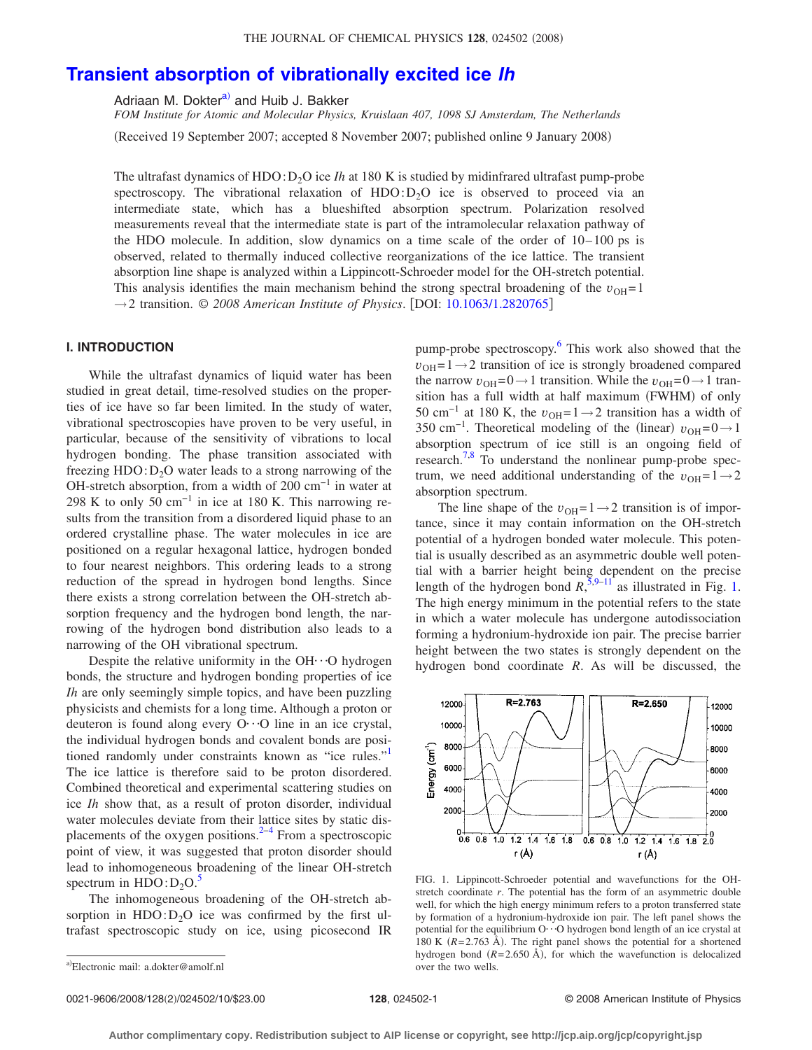# **[Transient absorption of vibrationally excited ice](http://dx.doi.org/10.1063/1.2820765)** *Ih*

Adriaan M. Dokter<sup>a)</sup> and Huib J. Bakker

*FOM Institute for Atomic and Molecular Physics, Kruislaan 407, 1098 SJ Amsterdam, The Netherlands*

(Received 19 September 2007; accepted 8 November 2007; published online 9 January 2008)

The ultrafast dynamics of HDO: D<sub>2</sub>O ice *Ih* at 180 K is studied by midinfrared ultrafast pump-probe spectroscopy. The vibrational relaxation of  $HDO: D<sub>2</sub>O$  ice is observed to proceed via an intermediate state, which has a blueshifted absorption spectrum. Polarization resolved measurements reveal that the intermediate state is part of the intramolecular relaxation pathway of the HDO molecule. In addition, slow dynamics on a time scale of the order of  $10-100$  ps is observed, related to thermally induced collective reorganizations of the ice lattice. The transient absorption line shape is analyzed within a Lippincott-Schroeder model for the OH-stretch potential. This analysis identifies the main mechanism behind the strong spectral broadening of the  $v_{\text{OH}} = 1$  $\rightarrow$  2 transition.  $\odot$  2008 American Institute of Physics. [DOI: [10.1063/1.2820765](http://dx.doi.org/10.1063/1.2820765)]

## **I. INTRODUCTION**

While the ultrafast dynamics of liquid water has been studied in great detail, time-resolved studies on the properties of ice have so far been limited. In the study of water, vibrational spectroscopies have proven to be very useful, in particular, because of the sensitivity of vibrations to local hydrogen bonding. The phase transition associated with freezing  $HDO: D<sub>2</sub>O$  water leads to a strong narrowing of the OH-stretch absorption, from a width of 200 cm−1 in water at 298 K to only 50 cm<sup>-1</sup> in ice at 180 K. This narrowing results from the transition from a disordered liquid phase to an ordered crystalline phase. The water molecules in ice are positioned on a regular hexagonal lattice, hydrogen bonded to four nearest neighbors. This ordering leads to a strong reduction of the spread in hydrogen bond lengths. Since there exists a strong correlation between the OH-stretch absorption frequency and the hydrogen bond length, the narrowing of the hydrogen bond distribution also leads to a narrowing of the OH vibrational spectrum.

Despite the relative uniformity in the  $OH \cdot \cdot \cdot O$  hydrogen bonds, the structure and hydrogen bonding properties of ice *Ih* are only seemingly simple topics, and have been puzzling physicists and chemists for a long time. Although a proton or deuteron is found along every  $O \cdot O$  line in an ice crystal, the individual hydrogen bonds and covalent bonds are positioned randomly under constraints known as "ice rules."<sup>1</sup> The ice lattice is therefore said to be proton disordered. Combined theoretical and experimental scattering studies on ice *Ih* show that, as a result of proton disorder, individual water molecules deviate from their lattice sites by static displacements of the oxygen positions. $2^{-4}$  $2^{-4}$  $2^{-4}$  From a spectroscopic point of view, it was suggested that proton disorder should lead to inhomogeneous broadening of the linear OH-stretch spectrum in  $HDO: D<sub>2</sub>O<sup>5</sup>$  $HDO: D<sub>2</sub>O<sup>5</sup>$  $HDO: D<sub>2</sub>O<sup>5</sup>$ 

The inhomogeneous broadening of the OH-stretch absorption in  $HDO: D<sub>2</sub>O$  ice was confirmed by the first ultrafast spectroscopic study on ice, using picosecond IR pump-probe spectroscopy.<sup>6</sup> This work also showed that the  $v_{OH} = 1 \rightarrow 2$  transition of ice is strongly broadened compared the narrow  $v_{OH} = 0 \rightarrow 1$  transition. While the  $v_{OH} = 0 \rightarrow 1$  transition has a full width at half maximum (FWHM) of only 50 cm<sup>-1</sup> at 180 K, the  $v_{OH} = 1 \rightarrow 2$  transition has a width of 350 cm<sup>-1</sup>. Theoretical modeling of the (linear)  $v_{OH} = 0 \rightarrow 1$ absorption spectrum of ice still is an ongoing field of research.<sup>7[,8](#page-8-6)</sup> To understand the nonlinear pump-probe spectrum, we need additional understanding of the  $v_{OH} = 1 \rightarrow 2$ absorption spectrum.

The line shape of the  $v_{OH} = 1 \rightarrow 2$  transition is of importance, since it may contain information on the OH-stretch potential of a hydrogen bonded water molecule. This potential is usually described as an asymmetric double well potential with a barrier height being dependent on the precise length of the hydrogen bond  $R$ ,  $\frac{5.9-11}{1}$  $\frac{5.9-11}{1}$  $\frac{5.9-11}{1}$  as illustrated in Fig. [1.](#page-0-1) The high energy minimum in the potential refers to the state in which a water molecule has undergone autodissociation forming a hydronium-hydroxide ion pair. The precise barrier height between the two states is strongly dependent on the hydrogen bond coordinate *R*. As will be discussed, the

<span id="page-0-1"></span>

FIG. 1. Lippincott-Schroeder potential and wavefunctions for the OHstretch coordinate *r*. The potential has the form of an asymmetric double well, for which the high energy minimum refers to a proton transferred state by formation of a hydronium-hydroxide ion pair. The left panel shows the potential for the equilibrium  $O \cdot O$  hydrogen bond length of an ice crystal at 180 K  $(R=2.763 \text{ Å})$ . The right panel shows the potential for a shortened hydrogen bond  $(R=2.650 \text{ Å})$ , for which the wavefunction is delocalized over the two wells.

0021-9606/2008/128(2)/024502/10/\$23.00

<span id="page-0-0"></span>a)Electronic mail: a.dokter@amolf.nl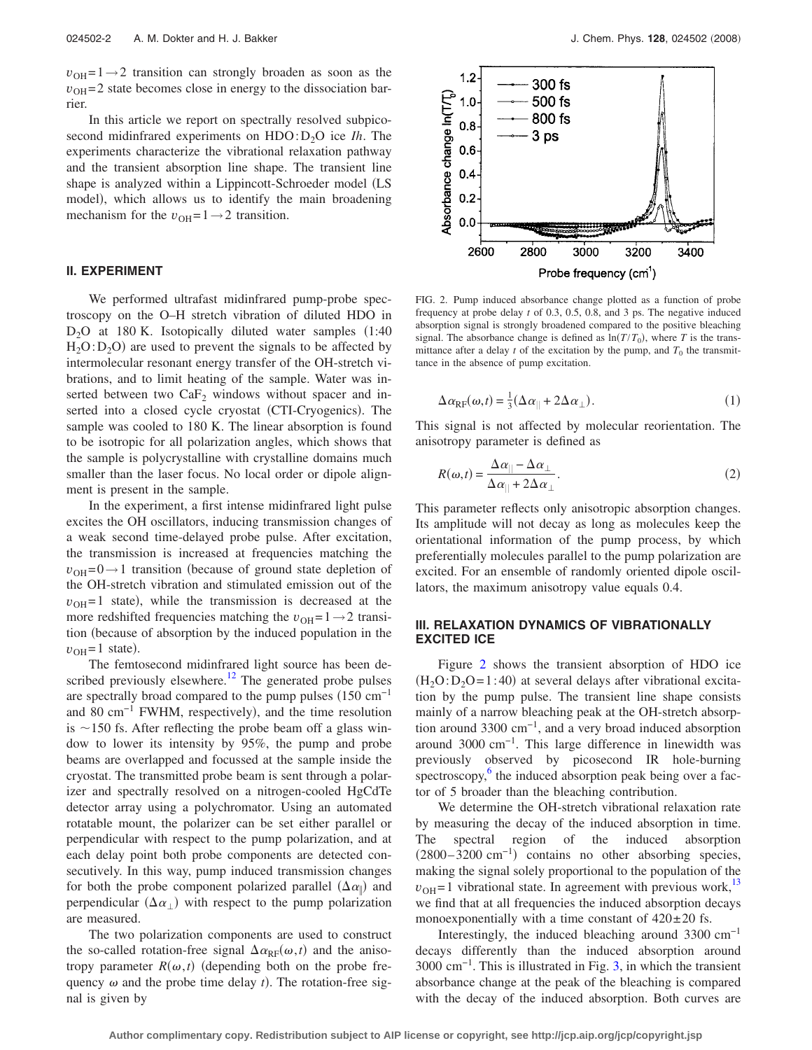$v_{\text{OH}} = 1 \rightarrow 2$  transition can strongly broaden as soon as the  $v_{OH} = 2$  state becomes close in energy to the dissociation barrier.

In this article we report on spectrally resolved subpicosecond midinfrared experiments on HDO:D2O ice *Ih*. The experiments characterize the vibrational relaxation pathway and the transient absorption line shape. The transient line shape is analyzed within a Lippincott-Schroeder model (LS model), which allows us to identify the main broadening mechanism for the  $v_{OH} = 1 \rightarrow 2$  transition.

## **II. EXPERIMENT**

We performed ultrafast midinfrared pump-probe spectroscopy on the O–H stretch vibration of diluted HDO in  $D_2O$  at 180 K. Isotopically diluted water samples  $(1:40)$  $H_2O:D_2O$  are used to prevent the signals to be affected by intermolecular resonant energy transfer of the OH-stretch vibrations, and to limit heating of the sample. Water was inserted between two  $CaF<sub>2</sub>$  windows without spacer and inserted into a closed cycle cryostat (CTI-Cryogenics). The sample was cooled to 180 K. The linear absorption is found to be isotropic for all polarization angles, which shows that the sample is polycrystalline with crystalline domains much smaller than the laser focus. No local order or dipole alignment is present in the sample.

In the experiment, a first intense midinfrared light pulse excites the OH oscillators, inducing transmission changes of a weak second time-delayed probe pulse. After excitation, the transmission is increased at frequencies matching the  $v_{\text{OH}} = 0 \rightarrow 1$  transition (because of ground state depletion of the OH-stretch vibration and stimulated emission out of the  $v_{\text{OH}} = 1$  state), while the transmission is decreased at the more redshifted frequencies matching the  $v_{OH} = 1 \rightarrow 2$  transition (because of absorption by the induced population in the  $v_{\text{OH}} = 1$  state).

The femtosecond midinfrared light source has been described previously elsewhere.<sup>12</sup> The generated probe pulses are spectrally broad compared to the pump pulses  $(150 \text{ cm}^{-1})$ and 80 cm<sup>-1</sup> FWHM, respectively), and the time resolution is  $\sim$ 150 fs. After reflecting the probe beam off a glass window to lower its intensity by 95%, the pump and probe beams are overlapped and focussed at the sample inside the cryostat. The transmitted probe beam is sent through a polarizer and spectrally resolved on a nitrogen-cooled HgCdTe detector array using a polychromator. Using an automated rotatable mount, the polarizer can be set either parallel or perpendicular with respect to the pump polarization, and at each delay point both probe components are detected consecutively. In this way, pump induced transmission changes for both the probe component polarized parallel  $(\Delta \alpha_{\parallel})$  and perpendicular  $(\Delta \alpha_{\perp})$  with respect to the pump polarization are measured.

The two polarization components are used to construct the so-called rotation-free signal  $\Delta \alpha_{RF}(\omega, t)$  and the anisotropy parameter  $R(\omega, t)$  (depending both on the probe frequency  $\omega$  and the probe time delay *t*). The rotation-free signal is given by

<span id="page-1-0"></span>

FIG. 2. Pump induced absorbance change plotted as a function of probe frequency at probe delay *t* of 0.3, 0.5, 0.8, and 3 ps. The negative induced absorption signal is strongly broadened compared to the positive bleaching signal. The absorbance change is defined as  $\ln(T/T_0)$ , where *T* is the transmittance after a delay  $t$  of the excitation by the pump, and  $T_0$  the transmittance in the absence of pump excitation.

$$
\Delta \alpha_{\rm RF}(\omega, t) = \frac{1}{3} (\Delta \alpha_{||} + 2\Delta \alpha_{\perp}). \tag{1}
$$

This signal is not affected by molecular reorientation. The anisotropy parameter is defined as

$$
R(\omega, t) = \frac{\Delta \alpha_{||} - \Delta \alpha_{\perp}}{\Delta \alpha_{||} + 2\Delta \alpha_{\perp}}.
$$
 (2)

This parameter reflects only anisotropic absorption changes. Its amplitude will not decay as long as molecules keep the orientational information of the pump process, by which preferentially molecules parallel to the pump polarization are excited. For an ensemble of randomly oriented dipole oscillators, the maximum anisotropy value equals 0.4.

## **III. RELAXATION DYNAMICS OF VIBRATIONALLY EXCITED ICE**

Figure [2](#page-1-0) shows the transient absorption of HDO ice  $(H<sub>2</sub>O: D<sub>2</sub>O = 1:40)$  at several delays after vibrational excitation by the pump pulse. The transient line shape consists mainly of a narrow bleaching peak at the OH-stretch absorption around 3300 cm−1, and a very broad induced absorption around 3000 cm−1. This large difference in linewidth was previously observed by picosecond IR hole-burning spectroscopy, $\delta$  the induced absorption peak being over a factor of 5 broader than the bleaching contribution.

We determine the OH-stretch vibrational relaxation rate by measuring the decay of the induced absorption in time. The spectral region of the induced absorption  $(2800-3200 \text{ cm}^{-1})$  contains no other absorbing species, making the signal solely proportional to the population of the  $v_{\text{OH}}$  = 1 vibrational state. In agreement with previous work,<sup>13</sup> we find that at all frequencies the induced absorption decays monoexponentially with a time constant of  $420 \pm 20$  fs.

Interestingly, the induced bleaching around  $3300 \text{ cm}^{-1}$ decays differently than the induced absorption around 3000 cm−1. This is illustrated in Fig. [3,](#page-2-0) in which the transient absorbance change at the peak of the bleaching is compared with the decay of the induced absorption. Both curves are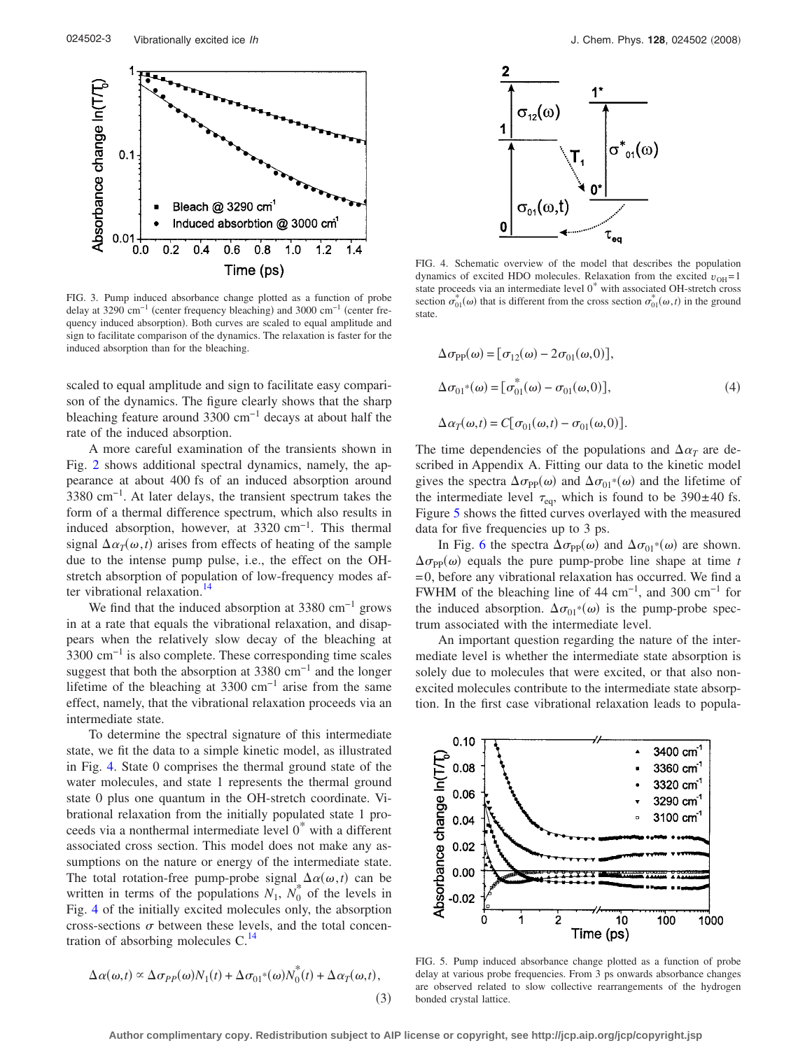<span id="page-2-0"></span>

FIG. 3. Pump induced absorbance change plotted as a function of probe delay at 3290 cm<sup>-1</sup> (center frequency bleaching) and 3000 cm<sup>-1</sup> (center frequency induced absorption). Both curves are scaled to equal amplitude and sign to facilitate comparison of the dynamics. The relaxation is faster for the induced absorption than for the bleaching.

scaled to equal amplitude and sign to facilitate easy comparison of the dynamics. The figure clearly shows that the sharp bleaching feature around 3300 cm−1 decays at about half the rate of the induced absorption.

A more careful examination of the transients shown in Fig. [2](#page-1-0) shows additional spectral dynamics, namely, the appearance at about 400 fs of an induced absorption around 3380 cm−1. At later delays, the transient spectrum takes the form of a thermal difference spectrum, which also results in induced absorption, however, at 3320 cm−1. This thermal signal  $\Delta \alpha_T(\omega, t)$  arises from effects of heating of the sample due to the intense pump pulse, i.e., the effect on the OHstretch absorption of population of low-frequency modes after vibrational relaxation.<sup>14</sup>

We find that the induced absorption at 3380 cm<sup>-1</sup> grows in at a rate that equals the vibrational relaxation, and disappears when the relatively slow decay of the bleaching at 3300 cm−1 is also complete. These corresponding time scales suggest that both the absorption at 3380 cm−1 and the longer lifetime of the bleaching at 3300 cm<sup>-1</sup> arise from the same effect, namely, that the vibrational relaxation proceeds via an intermediate state.

To determine the spectral signature of this intermediate state, we fit the data to a simple kinetic model, as illustrated in Fig. [4.](#page-2-1) State 0 comprises the thermal ground state of the water molecules, and state 1 represents the thermal ground state 0 plus one quantum in the OH-stretch coordinate. Vibrational relaxation from the initially populated state 1 proceeds via a nonthermal intermediate level 0\* with a different associated cross section. This model does not make any assumptions on the nature or energy of the intermediate state. The total rotation-free pump-probe signal  $\Delta \alpha(\omega, t)$  can be written in terms of the populations  $N_1$ ,  $N_0^*$  of the levels in Fig. [4](#page-2-1) of the initially excited molecules only, the absorption cross-sections  $\sigma$  between these levels, and the total concentration of absorbing molecules  $C<sup>14</sup>$ 

<span id="page-2-3"></span>
$$
\Delta \alpha(\omega, t) \propto \Delta \sigma_{PP}(\omega) N_1(t) + \Delta \sigma_{01} * (\omega) N_0^*(t) + \Delta \alpha_T(\omega, t),
$$
\n(3)

<span id="page-2-1"></span>

FIG. 4. Schematic overview of the model that describes the population dynamics of excited HDO molecules. Relaxation from the excited  $v_{OH} = 1$ state proceeds via an intermediate level 0\* with associated OH-stretch cross section  $\sigma_{01}^*(\omega)$  that is different from the cross section  $\sigma_{01}^*(\omega,t)$  in the ground state.

$$
\Delta \sigma_{\text{PP}}(\omega) = [\sigma_{12}(\omega) - 2\sigma_{01}(\omega, 0)],
$$
  
\n
$$
\Delta \sigma_{01} * (\omega) = [\sigma_{01}^*(\omega) - \sigma_{01}(\omega, 0)],
$$
  
\n
$$
\Delta \alpha_T(\omega, t) = C[\sigma_{01}(\omega, t) - \sigma_{01}(\omega, 0)].
$$
\n(4)

The time dependencies of the populations and  $\Delta \alpha_T$  are described in Appendix A. Fitting our data to the kinetic model gives the spectra  $\Delta \sigma_{\rm PP}(\omega)$  and  $\Delta \sigma_{01}^*(\omega)$  and the lifetime of the intermediate level  $\tau_{eq}$ , which is found to be 390±40 fs. Figure [5](#page-2-2) shows the fitted curves overlayed with the measured data for five frequencies up to 3 ps.

In Fig. [6](#page-3-0) the spectra  $\Delta \sigma_{\text{PP}}(\omega)$  and  $\Delta \sigma_{01}*(\omega)$  are shown.  $\Delta \sigma_{PP}(\omega)$  equals the pure pump-probe line shape at time *t*  $=0$ , before any vibrational relaxation has occurred. We find a FWHM of the bleaching line of 44 cm−1, and 300 cm−1 for the induced absorption.  $\Delta \sigma_{01} * (\omega)$  is the pump-probe spectrum associated with the intermediate level.

An important question regarding the nature of the intermediate level is whether the intermediate state absorption is solely due to molecules that were excited, or that also nonexcited molecules contribute to the intermediate state absorption. In the first case vibrational relaxation leads to popula-

<span id="page-2-2"></span>

FIG. 5. Pump induced absorbance change plotted as a function of probe delay at various probe frequencies. From 3 ps onwards absorbance changes are observed related to slow collective rearrangements of the hydrogen bonded crystal lattice.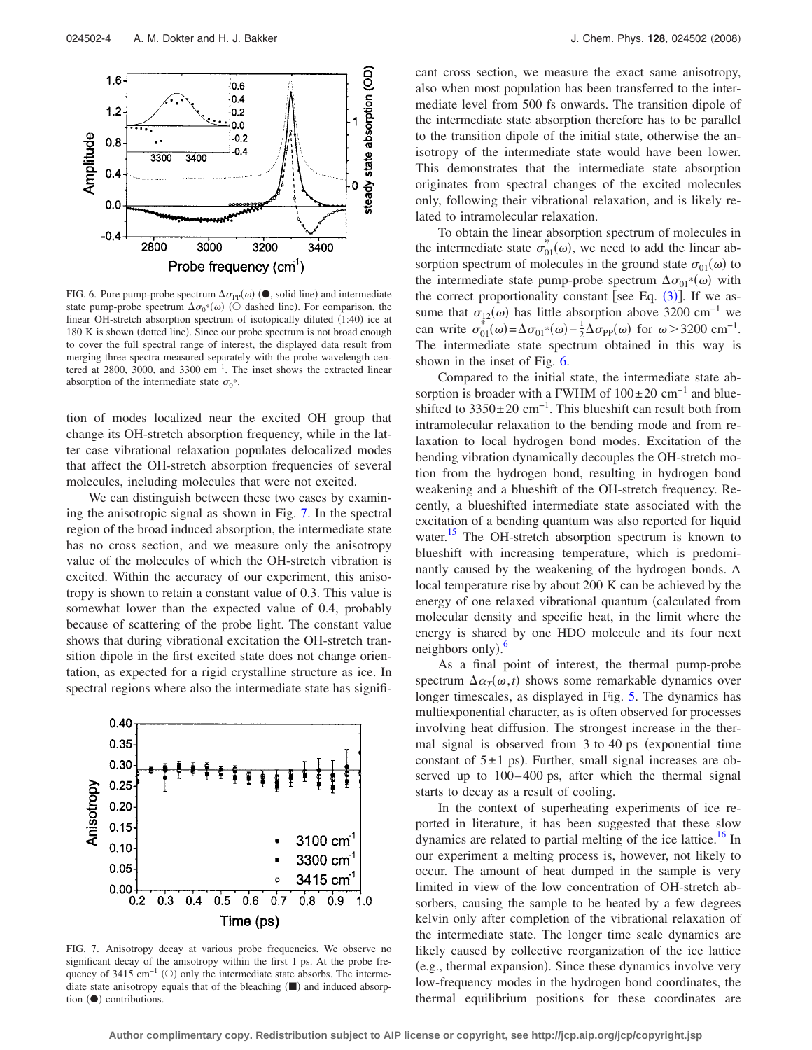<span id="page-3-0"></span>

FIG. 6. Pure pump-probe spectrum  $\Delta \sigma_{PP}(\omega)$  ( $\bullet$ , solid line) and intermediate state pump-probe spectrum  $\Delta \sigma_0^*(\omega)$  ( $\circlearrowright$  dashed line). For comparison, the linear OH-stretch absorption spectrum of isotopically diluted (1:40) ice at 180 K is shown (dotted line). Since our probe spectrum is not broad enough to cover the full spectral range of interest, the displayed data result from merging three spectra measured separately with the probe wavelength centered at 2800, 3000, and 3300 cm−1. The inset shows the extracted linear absorption of the intermediate state  $\sigma_0^*$ .

tion of modes localized near the excited OH group that change its OH-stretch absorption frequency, while in the latter case vibrational relaxation populates delocalized modes that affect the OH-stretch absorption frequencies of several molecules, including molecules that were not excited.

We can distinguish between these two cases by examining the anisotropic signal as shown in Fig. [7.](#page-3-1) In the spectral region of the broad induced absorption, the intermediate state has no cross section, and we measure only the anisotropy value of the molecules of which the OH-stretch vibration is excited. Within the accuracy of our experiment, this anisotropy is shown to retain a constant value of 0.3. This value is somewhat lower than the expected value of 0.4, probably because of scattering of the probe light. The constant value shows that during vibrational excitation the OH-stretch transition dipole in the first excited state does not change orientation, as expected for a rigid crystalline structure as ice. In spectral regions where also the intermediate state has signifi-

<span id="page-3-1"></span>

FIG. 7. Anisotropy decay at various probe frequencies. We observe no significant decay of the anisotropy within the first 1 ps. At the probe frequency of 3415 cm<sup>-1</sup> (○) only the intermediate state absorbs. The intermediate state anisotropy equals that of the bleaching  $(\blacksquare)$  and induced absorption  $($ <sup>o</sup> $)$  contributions.

cant cross section, we measure the exact same anisotropy, also when most population has been transferred to the intermediate level from 500 fs onwards. The transition dipole of the intermediate state absorption therefore has to be parallel to the transition dipole of the initial state, otherwise the anisotropy of the intermediate state would have been lower. This demonstrates that the intermediate state absorption originates from spectral changes of the excited molecules only, following their vibrational relaxation, and is likely related to intramolecular relaxation.

To obtain the linear absorption spectrum of molecules in the intermediate state  $\sigma_{01}^*(\omega)$ , we need to add the linear absorption spectrum of molecules in the ground state  $\sigma_{01}(\omega)$  to the intermediate state pump-probe spectrum  $\Delta \sigma_{01} * (\omega)$  with the correct proportionality constant [see Eq.  $(3)$  $(3)$  $(3)$ ]. If we assume that  $\sigma_{12}(\omega)$  has little absorption above 3200 cm<sup>-1</sup> we can write  $\sigma_{01}^{*^{-}}(\omega) = \Delta \sigma_{01}^{*}(\omega) - \frac{1}{2}\Delta \sigma_{PP}(\omega)$  for  $\omega > 3200$  cm<sup>-1</sup>. The intermediate state spectrum obtained in this way is shown in the inset of Fig. [6.](#page-3-0)

Compared to the initial state, the intermediate state absorption is broader with a FWHM of  $100±20$  cm<sup>-1</sup> and blueshifted to  $3350\pm20$  cm<sup>-1</sup>. This blueshift can result both from intramolecular relaxation to the bending mode and from relaxation to local hydrogen bond modes. Excitation of the bending vibration dynamically decouples the OH-stretch motion from the hydrogen bond, resulting in hydrogen bond weakening and a blueshift of the OH-stretch frequency. Recently, a blueshifted intermediate state associated with the excitation of a bending quantum was also reported for liquid water.<sup>15</sup> The OH-stretch absorption spectrum is known to blueshift with increasing temperature, which is predominantly caused by the weakening of the hydrogen bonds. A local temperature rise by about 200 K can be achieved by the energy of one relaxed vibrational quantum (calculated from molecular density and specific heat, in the limit where the energy is shared by one HDO molecule and its four next neighbors only). $\frac{6}{5}$  $\frac{6}{5}$  $\frac{6}{5}$ 

As a final point of interest, the thermal pump-probe spectrum  $\Delta \alpha_T(\omega, t)$  shows some remarkable dynamics over longer timescales, as displayed in Fig. [5.](#page-2-2) The dynamics has multiexponential character, as is often observed for processes involving heat diffusion. The strongest increase in the thermal signal is observed from  $3$  to  $40$  ps (exponential time constant of  $5\pm 1$  ps). Further, small signal increases are observed up to 100–400 ps, after which the thermal signal starts to decay as a result of cooling.

In the context of superheating experiments of ice reported in literature, it has been suggested that these slow dynamics are related to partial melting of the ice lattice.<sup>16</sup> In our experiment a melting process is, however, not likely to occur. The amount of heat dumped in the sample is very limited in view of the low concentration of OH-stretch absorbers, causing the sample to be heated by a few degrees kelvin only after completion of the vibrational relaxation of the intermediate state. The longer time scale dynamics are likely caused by collective reorganization of the ice lattice (e.g., thermal expansion). Since these dynamics involve very low-frequency modes in the hydrogen bond coordinates, the thermal equilibrium positions for these coordinates are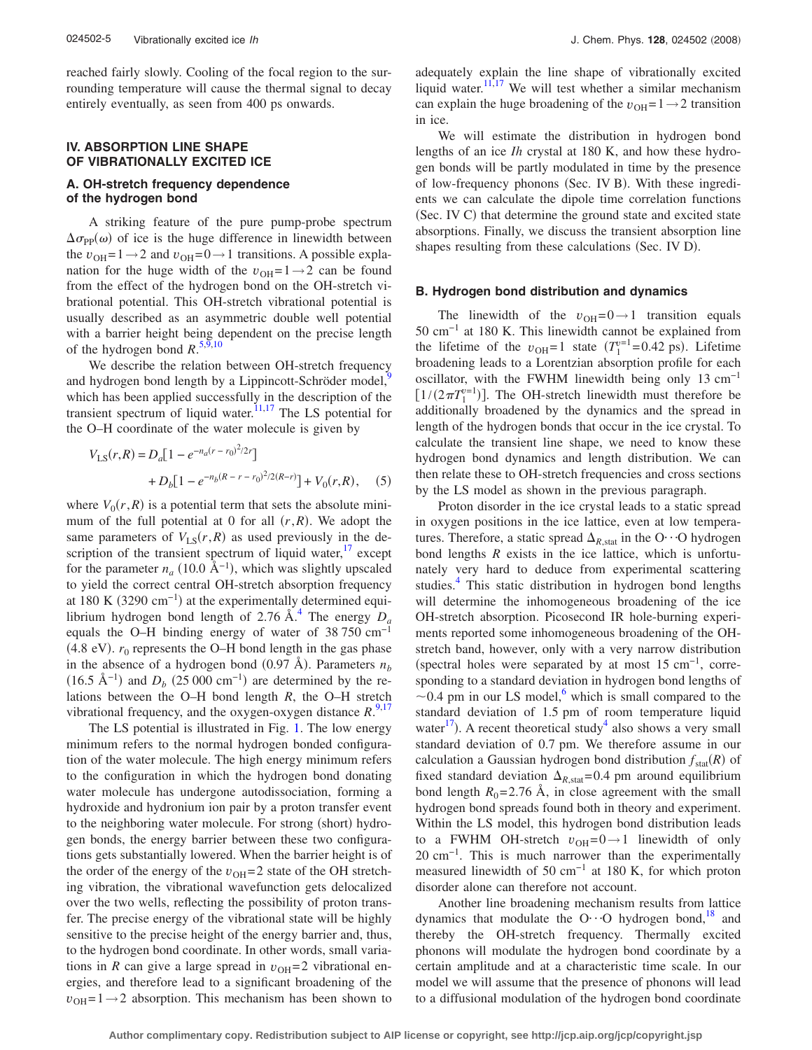reached fairly slowly. Cooling of the focal region to the surrounding temperature will cause the thermal signal to decay entirely eventually, as seen from 400 ps onwards.

# **IV. ABSORPTION LINE SHAPE OF VIBRATIONALLY EXCITED ICE**

# **A. OH-stretch frequency dependence of the hydrogen bond**

A striking feature of the pure pump-probe spectrum  $\Delta \sigma_{\rm PP}(\omega)$  of ice is the huge difference in linewidth between the  $v_{OH} = 1 \rightarrow 2$  and  $v_{OH} = 0 \rightarrow 1$  transitions. A possible explanation for the huge width of the  $v_{OH} = 1 \rightarrow 2$  can be found from the effect of the hydrogen bond on the OH-stretch vibrational potential. This OH-stretch vibrational potential is usually described as an asymmetric double well potential with a barrier height being dependent on the precise length of the hydrogen bond  $R^{5,9,10}$  $R^{5,9,10}$  $R^{5,9,10}$  $R^{5,9,10}$  $R^{5,9,10}$ 

We describe the relation between OH-stretch frequency and hydrogen bond length by a Lippincott-Schröder model,<sup>9</sup> which has been applied successfully in the description of the transient spectrum of liquid water[.11](#page-9-0)[,17](#page-9-6) The LS potential for the O–H coordinate of the water molecule is given by

<span id="page-4-0"></span>
$$
V_{LS}(r,R) = D_a[1 - e^{-n_a(r - r_0)^2/2r}] + D_b[1 - e^{-n_b(R - r - r_0)^2/2(R - r)}] + V_0(r,R),
$$
 (5)

where  $V_0(r, R)$  is a potential term that sets the absolute minimum of the full potential at 0 for all  $(r, R)$ . We adopt the same parameters of  $V_{LS}(r, R)$  as used previously in the description of the transient spectrum of liquid water, $17$  except for the parameter  $n_a$  (10.0 Å<sup>-1</sup>), which was slightly upscaled to yield the correct central OH-stretch absorption frequency at 180 K  $(3290 \text{ cm}^{-1})$  at the experimentally determined equilibrium hydrogen bond length of 2.76 Å.<sup>4</sup> The energy  $D_a$ equals the O–H binding energy of water of 38 750 cm−1  $(4.8 \text{ eV})$ .  $r_0$  represents the O–H bond length in the gas phase in the absence of a hydrogen bond  $(0.97 \text{ Å})$ . Parameters  $n_b$  $(16.5 \text{ Å}^{-1})$  and  $D_b$   $(25000 \text{ cm}^{-1})$  are determined by the relations between the O–H bond length *R*, the O–H stretch vibrational frequency, and the oxygen-oxygen distance  $R^{9,17}$  $R^{9,17}$  $R^{9,17}$  $R^{9,17}$ .

The LS potential is illustrated in Fig. [1.](#page-0-1) The low energy minimum refers to the normal hydrogen bonded configuration of the water molecule. The high energy minimum refers to the configuration in which the hydrogen bond donating water molecule has undergone autodissociation, forming a hydroxide and hydronium ion pair by a proton transfer event to the neighboring water molecule. For strong (short) hydrogen bonds, the energy barrier between these two configurations gets substantially lowered. When the barrier height is of the order of the energy of the  $v_{OH} = 2$  state of the OH stretching vibration, the vibrational wavefunction gets delocalized over the two wells, reflecting the possibility of proton transfer. The precise energy of the vibrational state will be highly sensitive to the precise height of the energy barrier and, thus, to the hydrogen bond coordinate. In other words, small variations in *R* can give a large spread in  $v_{OH} = 2$  vibrational energies, and therefore lead to a significant broadening of the  $v_{OH} = 1 \rightarrow 2$  absorption. This mechanism has been shown to adequately explain the line shape of vibrationally excited liquid water.<sup>11[,17](#page-9-6)</sup> We will test whether a similar mechanism can explain the huge broadening of the  $v_{OH} = 1 \rightarrow 2$  transition in ice.

We will estimate the distribution in hydrogen bond lengths of an ice *Ih* crystal at 180 K, and how these hydrogen bonds will be partly modulated in time by the presence of low-frequency phonons (Sec. IV B). With these ingredients we can calculate the dipole time correlation functions (Sec. IV C) that determine the ground state and excited state absorptions. Finally, we discuss the transient absorption line shapes resulting from these calculations (Sec. IV D).

## **B. Hydrogen bond distribution and dynamics**

The linewidth of the  $v_{OH} = 0 \rightarrow 1$  transition equals 50 cm−1 at 180 K. This linewidth cannot be explained from the lifetime of the  $v_{OH} = 1$  state  $(T_1^{v=1} = 0.42 \text{ ps})$ . Lifetime broadening leads to a Lorentzian absorption profile for each oscillator, with the FWHM linewidth being only 13 cm−1  $[1/(2\pi T_1^{\nu-1})]$ . The OH-stretch linewidth must therefore be additionally broadened by the dynamics and the spread in length of the hydrogen bonds that occur in the ice crystal. To calculate the transient line shape, we need to know these hydrogen bond dynamics and length distribution. We can then relate these to OH-stretch frequencies and cross sections by the LS model as shown in the previous paragraph.

Proton disorder in the ice crystal leads to a static spread in oxygen positions in the ice lattice, even at low temperatures. Therefore, a static spread  $\Delta_{R,\text{stat}}$  in the O $\cdots$ O hydrogen bond lengths *R* exists in the ice lattice, which is unfortunately very hard to deduce from experimental scattering studies.<sup>4</sup> This static distribution in hydrogen bond lengths will determine the inhomogeneous broadening of the ice OH-stretch absorption. Picosecond IR hole-burning experiments reported some inhomogeneous broadening of the OHstretch band, however, only with a very narrow distribution (spectral holes were separated by at most  $15 \text{ cm}^{-1}$ , corresponding to a standard deviation in hydrogen bond lengths of  $\sim$ 0.4 pm in our LS model, $\degree$  which is small compared to the standard deviation of 1.5 pm of room temperature liquid water $^{17}$ ). A recent theoretical study<sup>4</sup> also shows a very small standard deviation of 0.7 pm. We therefore assume in our calculation a Gaussian hydrogen bond distribution  $f_{stat}(R)$  of fixed standard deviation  $\Delta_{R,\text{stat}} = 0.4$  pm around equilibrium bond length  $R_0$ =2.76 Å, in close agreement with the small hydrogen bond spreads found both in theory and experiment. Within the LS model, this hydrogen bond distribution leads to a FWHM OH-stretch  $v_{OH} = 0 \rightarrow 1$  linewidth of only 20 cm<sup>-1</sup>. This is much narrower than the experimentally measured linewidth of 50 cm<sup>-1</sup> at 180 K, for which proton disorder alone can therefore not account.

Another line broadening mechanism results from lattice dynamics that modulate the O $\cdot \cdot$ O hydrogen bond,<sup>18</sup> and thereby the OH-stretch frequency. Thermally excited phonons will modulate the hydrogen bond coordinate by a certain amplitude and at a characteristic time scale. In our model we will assume that the presence of phonons will lead to a diffusional modulation of the hydrogen bond coordinate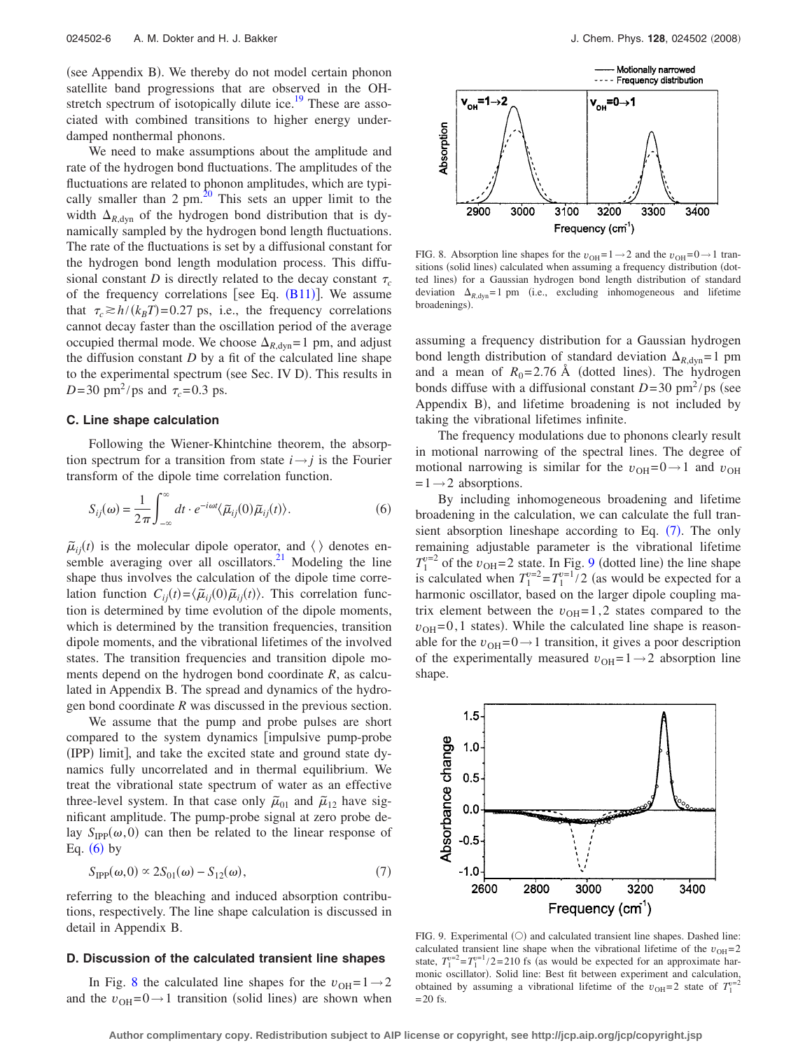(see Appendix B). We thereby do not model certain phonon satellite band progressions that are observed in the OHstretch spectrum of isotopically dilute ice.<sup>19</sup> These are associated with combined transitions to higher energy underdamped nonthermal phonons.

We need to make assumptions about the amplitude and rate of the hydrogen bond fluctuations. The amplitudes of the fluctuations are related to phonon amplitudes, which are typically smaller than  $2 \text{ pm}$ .<sup>20</sup> This sets an upper limit to the width  $\Delta_{R,\text{dyn}}$  of the hydrogen bond distribution that is dynamically sampled by the hydrogen bond length fluctuations. The rate of the fluctuations is set by a diffusional constant for the hydrogen bond length modulation process. This diffusional constant *D* is directly related to the decay constant  $\tau_c$ of the frequency correlations [see Eq.  $(B11)$  $(B11)$  $(B11)$ ]. We assume that  $\tau_c \gtrsim h/(k_B T) = 0.27$  ps, i.e., the frequency correlations cannot decay faster than the oscillation period of the average occupied thermal mode. We choose  $\Delta_{R,\text{dyn}}=1$  pm, and adjust the diffusion constant  $D$  by a fit of the calculated line shape to the experimental spectrum (see Sec. IV D). This results in *D*=30 pm<sup>2</sup>/ps and  $\tau_c$ =0.3 ps.

#### **C. Line shape calculation**

Following the Wiener-Khintchine theorem, the absorption spectrum for a transition from state  $i \rightarrow j$  is the Fourier transform of the dipole time correlation function.

<span id="page-5-0"></span>
$$
S_{ij}(\omega) = \frac{1}{2\pi} \int_{-\infty}^{\infty} dt \cdot e^{-i\omega t} \langle \tilde{\mu}_{ij}(0) \tilde{\mu}_{ij}(t) \rangle.
$$
 (6)

 $\tilde{\mu}_{ij}(t)$  is the molecular dipole operator, and  $\langle \rangle$  denotes ensemble averaging over all oscillators. $21$  Modeling the line shape thus involves the calculation of the dipole time correlation function  $C_{ij}(t) = \langle \tilde{\mu}_{ij}(0) \tilde{\mu}_{ij}(t) \rangle$ . This correlation function is determined by time evolution of the dipole moments, which is determined by the transition frequencies, transition dipole moments, and the vibrational lifetimes of the involved states. The transition frequencies and transition dipole moments depend on the hydrogen bond coordinate *R*, as calculated in Appendix B. The spread and dynamics of the hydrogen bond coordinate *R* was discussed in the previous section.

We assume that the pump and probe pulses are short compared to the system dynamics [impulsive pump-probe (IPP) limit], and take the excited state and ground state dynamics fully uncorrelated and in thermal equilibrium. We treat the vibrational state spectrum of water as an effective three-level system. In that case only  $\tilde{\mu}_{01}$  and  $\tilde{\mu}_{12}$  have significant amplitude. The pump-probe signal at zero probe delay  $S_{\text{IPP}}(\omega, 0)$  can then be related to the linear response of Eq.  $(6)$  $(6)$  $(6)$  by

$$
S_{\text{IPP}}(\omega,0) \propto 2S_{01}(\omega) - S_{12}(\omega),\tag{7}
$$

<span id="page-5-2"></span>referring to the bleaching and induced absorption contributions, respectively. The line shape calculation is discussed in detail in Appendix B.

#### **D. Discussion of the calculated transient line shapes**

In Fig. [8](#page-5-1) the calculated line shapes for the  $v_{OH} = 1 \rightarrow 2$ and the  $v_{OH} = 0 \rightarrow 1$  transition (solid lines) are shown when

<span id="page-5-1"></span>

FIG. 8. Absorption line shapes for the  $v_{OH} = 1 \rightarrow 2$  and the  $v_{OH} = 0 \rightarrow 1$  transitions (solid lines) calculated when assuming a frequency distribution (dotted lines) for a Gaussian hydrogen bond length distribution of standard deviation  $\Delta_{R, dyn} = 1$  pm (i.e., excluding inhomogeneous and lifetime broadenings).

assuming a frequency distribution for a Gaussian hydrogen bond length distribution of standard deviation  $\Delta_{R,\text{dyn}}=1$  pm and a mean of  $R_0 = 2.76 \text{ Å}$  (dotted lines). The hydrogen bonds diffuse with a diffusional constant  $D=30$  pm<sup>2</sup>/ps (see Appendix B), and lifetime broadening is not included by taking the vibrational lifetimes infinite.

The frequency modulations due to phonons clearly result in motional narrowing of the spectral lines. The degree of motional narrowing is similar for the  $v_{\text{OH}} = 0 \rightarrow 1$  and  $v_{\text{OH}}$  $=1 \rightarrow 2$  absorptions.

By including inhomogeneous broadening and lifetime broadening in the calculation, we can calculate the full transient absorption lineshape according to Eq.  $(7)$  $(7)$  $(7)$ . The only remaining adjustable parameter is the vibrational lifetime  $T_1^{v=2}$  of the  $v_{\text{OH}} = 2$  state. In Fig. [9](#page-5-3) (dotted line) the line shape is calculated when  $T_1^{v=2} = T_1^{v=1}/2$  (as would be expected for a harmonic oscillator, based on the larger dipole coupling matrix element between the  $v_{OH} = 1,2$  states compared to the  $v_{\text{OH}} = 0, 1$  states). While the calculated line shape is reasonable for the  $v_{OH} = 0 \rightarrow 1$  transition, it gives a poor description of the experimentally measured  $v_{OH} = 1 \rightarrow 2$  absorption line shape.

<span id="page-5-3"></span>

FIG. 9. Experimental (O) and calculated transient line shapes. Dashed line: calculated transient line shape when the vibrational lifetime of the  $v_{OH} = 2$ state,  $T_1^{v=2} = T_1^{v=1}/2 = 210$  fs (as would be expected for an approximate harmonic oscillator). Solid line: Best fit between experiment and calculation, obtained by assuming a vibrational lifetime of the  $v_{OH} = 2$  state of  $T_1^{v=2}$  $=20$  fs.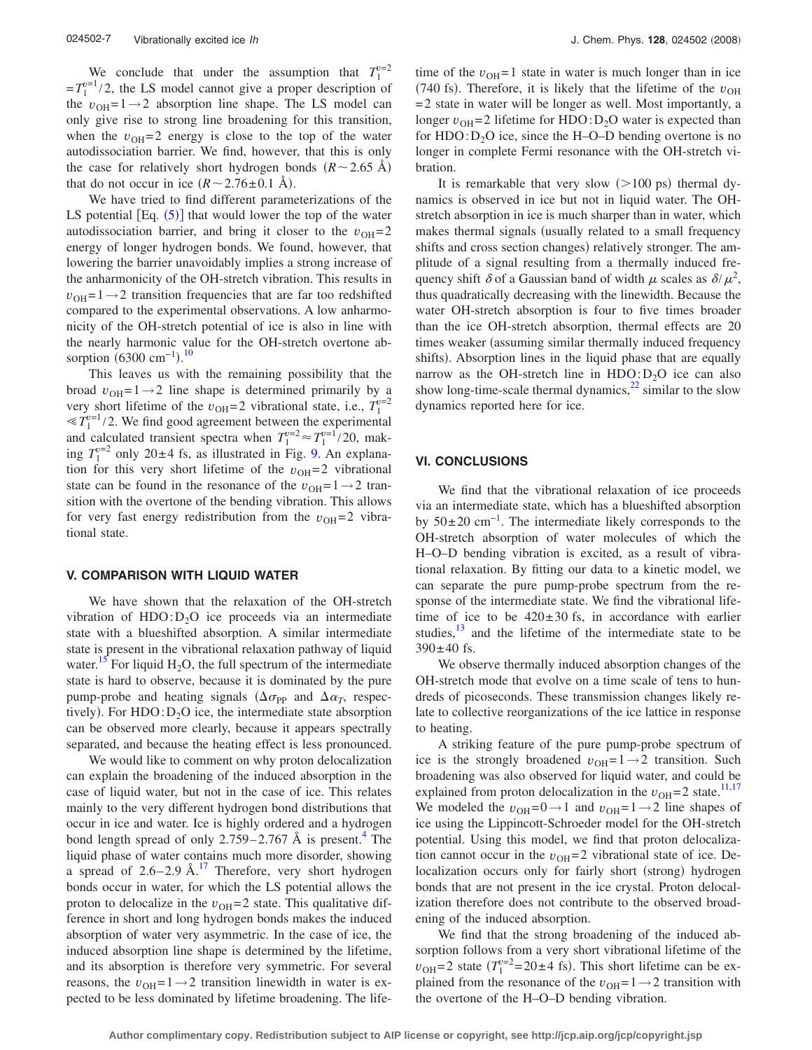We conclude that under the assumption that  $T_1^{v=2}$  $=T_1^{v=1}/2$ , the LS model cannot give a proper description of the  $v_{OH} = 1 \rightarrow 2$  absorption line shape. The LS model can only give rise to strong line broadening for this transition, when the  $v_{OH} = 2$  energy is close to the top of the water autodissociation barrier. We find, however, that this is only the case for relatively short hydrogen bonds  $(R \sim 2.65 \text{ Å})$ that do not occur in ice  $(R \sim 2.76 \pm 0.1$  Å).

We have tried to find different parameterizations of the LS potential  $[Eq. (5)]$  $[Eq. (5)]$  $[Eq. (5)]$  that would lower the top of the water autodissociation barrier, and bring it closer to the  $v_{OH} = 2$ energy of longer hydrogen bonds. We found, however, that lowering the barrier unavoidably implies a strong increase of the anharmonicity of the OH-stretch vibration. This results in  $v_{OH} = 1 \rightarrow 2$  transition frequencies that are far too redshifted compared to the experimental observations. A low anharmonicity of the OH-stretch potential of ice is also in line with the nearly harmonic value for the OH-stretch overtone absorption  $(6300 \text{ cm}^{-1})$ .<sup>[10](#page-8-8)</sup>

This leaves us with the remaining possibility that the broad  $v_{\text{OH}} = 1 \rightarrow 2$  line shape is determined primarily by a very short lifetime of the  $v_{OH} = 2$  vibrational state, i.e.,  $T_1^{v=2}$  $\ll T_1^{\nu-1}/2$ . We find good agreement between the experimental and calculated transient spectra when  $T_1^{v=2} \approx T_1^{v=1}/20$ , making  $T_1^{v=2}$  only 20 $\pm$ 4 fs, as illustrated in Fig. [9.](#page-5-3) An explanation for this very short lifetime of the  $v_{OH} = 2$  vibrational state can be found in the resonance of the  $v_{OH} = 1 \rightarrow 2$  transition with the overtone of the bending vibration. This allows for very fast energy redistribution from the  $v_{OH} = 2$  vibrational state.

## **V. COMPARISON WITH LIQUID WATER**

We have shown that the relaxation of the OH-stretch vibration of  $HDO: D<sub>2</sub>O$  ice proceeds via an intermediate state with a blueshifted absorption. A similar intermediate state is present in the vibrational relaxation pathway of liquid water.<sup>15</sup> For liquid H<sub>2</sub>O, the full spectrum of the intermediate state is hard to observe, because it is dominated by the pure pump-probe and heating signals ( $\Delta \sigma_{PP}$  and  $\Delta \alpha_T$ , respectively). For  $HDO: D<sub>2</sub>O$  ice, the intermediate state absorption can be observed more clearly, because it appears spectrally separated, and because the heating effect is less pronounced.

We would like to comment on why proton delocalization can explain the broadening of the induced absorption in the case of liquid water, but not in the case of ice. This relates mainly to the very different hydrogen bond distributions that occur in ice and water. Ice is highly ordered and a hydrogen bond length spread of only  $2.759 - 2.767$  Å is present.<sup>4</sup> The liquid phase of water contains much more disorder, showing a spread of  $2.6-2.9$  Å.<sup>[17](#page-9-6)</sup> Therefore, very short hydrogen bonds occur in water, for which the LS potential allows the proton to delocalize in the  $v_{OH} = 2$  state. This qualitative difference in short and long hydrogen bonds makes the induced absorption of water very asymmetric. In the case of ice, the induced absorption line shape is determined by the lifetime, and its absorption is therefore very symmetric. For several reasons, the  $v_{OH} = 1 \rightarrow 2$  transition linewidth in water is expected to be less dominated by lifetime broadening. The lifetime of the  $v_{OH} = 1$  state in water is much longer than in ice (740 fs). Therefore, it is likely that the lifetime of the  $v_{OH}$  $=$  2 state in water will be longer as well. Most importantly, a longer  $v_{OH}$  = 2 lifetime for HDO:  $D_2O$  water is expected than for  $HDO: D<sub>2</sub>O$  ice, since the H–O–D bending overtone is no longer in complete Fermi resonance with the OH-stretch vibration.

It is remarkable that very slow  $(>100 \text{ ps})$  thermal dynamics is observed in ice but not in liquid water. The OHstretch absorption in ice is much sharper than in water, which makes thermal signals (usually related to a small frequency shifts and cross section changes) relatively stronger. The amplitude of a signal resulting from a thermally induced frequency shift  $\delta$  of a Gaussian band of width  $\mu$  scales as  $\delta/\mu^2$ , thus quadratically decreasing with the linewidth. Because the water OH-stretch absorption is four to five times broader than the ice OH-stretch absorption, thermal effects are 20 times weaker (assuming similar thermally induced frequency shifts). Absorption lines in the liquid phase that are equally narrow as the OH-stretch line in  $HDO: D<sub>2</sub>O$  ice can also show long-time-scale thermal dynamics, $^{22}$  similar to the slow dynamics reported here for ice.

#### **VI. CONCLUSIONS**

We find that the vibrational relaxation of ice proceeds via an intermediate state, which has a blueshifted absorption by  $50\pm20$  cm<sup>-1</sup>. The intermediate likely corresponds to the OH-stretch absorption of water molecules of which the H–O–D bending vibration is excited, as a result of vibrational relaxation. By fitting our data to a kinetic model, we can separate the pure pump-probe spectrum from the response of the intermediate state. We find the vibrational lifetime of ice to be  $420 \pm 30$  fs, in accordance with earlier studies, $\frac{13}{13}$  and the lifetime of the intermediate state to be  $390±40$  fs.

We observe thermally induced absorption changes of the OH-stretch mode that evolve on a time scale of tens to hundreds of picoseconds. These transmission changes likely relate to collective reorganizations of the ice lattice in response to heating.

A striking feature of the pure pump-probe spectrum of ice is the strongly broadened  $v_{OH} = 1 \rightarrow 2$  transition. Such broadening was also observed for liquid water, and could be explained from proton delocalization in the  $v_{OH} = 2$  state.<sup>11[,17](#page-9-6)</sup> We modeled the  $v_{OH} = 0 \rightarrow 1$  and  $v_{OH} = 1 \rightarrow 2$  line shapes of ice using the Lippincott-Schroeder model for the OH-stretch potential. Using this model, we find that proton delocalization cannot occur in the  $v_{OH} = 2$  vibrational state of ice. Delocalization occurs only for fairly short (strong) hydrogen bonds that are not present in the ice crystal. Proton delocalization therefore does not contribute to the observed broadening of the induced absorption.

We find that the strong broadening of the induced absorption follows from a very short vibrational lifetime of the  $v_{\text{OH}}$ =2 state  $(T_1^{v=2}$ =20±4 fs). This short lifetime can be explained from the resonance of the  $v_{OH} = 1 \rightarrow 2$  transition with the overtone of the H–O–D bending vibration.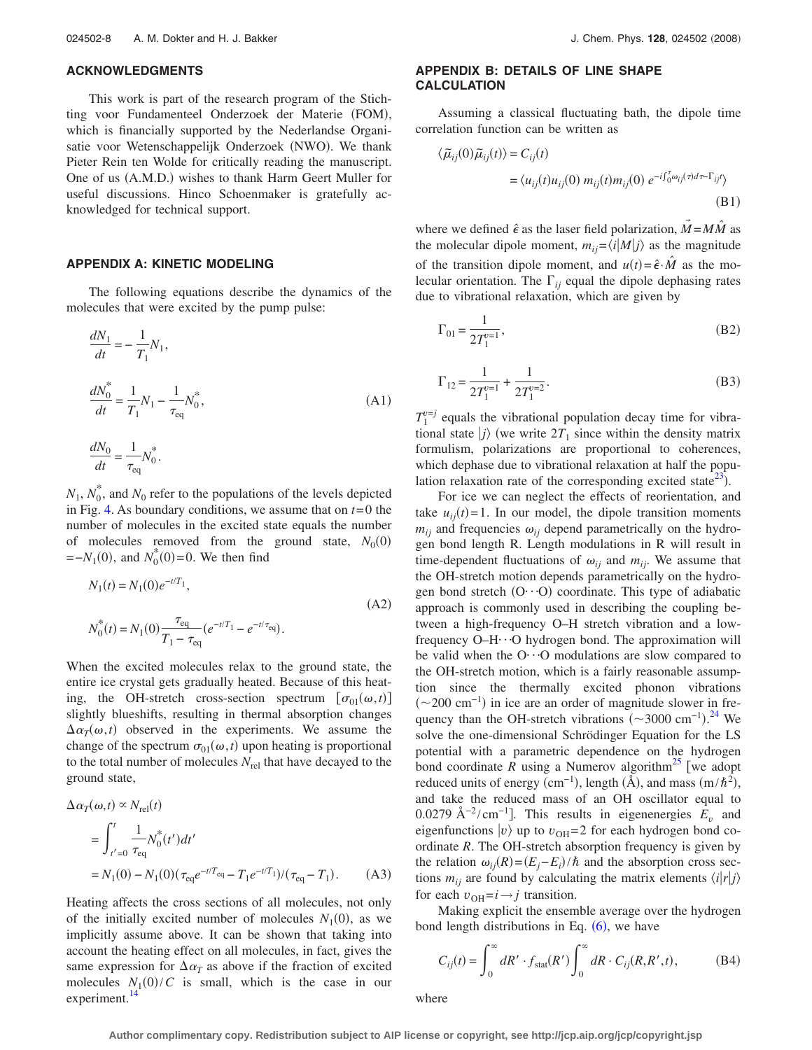# **ACKNOWLEDGMENTS**

This work is part of the research program of the Stichting voor Fundamenteel Onderzoek der Materie (FOM), which is financially supported by the Nederlandse Organisatie voor Wetenschappelijk Onderzoek (NWO). We thank Pieter Rein ten Wolde for critically reading the manuscript. One of us (A.M.D.) wishes to thank Harm Geert Muller for useful discussions. Hinco Schoenmaker is gratefully acknowledged for technical support.

## **APPENDIX A: KINETIC MODELING**

The following equations describe the dynamics of the molecules that were excited by the pump pulse:

$$
\frac{dN_1}{dt} = -\frac{1}{T_1} N_1,
$$
\n
$$
\frac{dN_0^*}{dt} = \frac{1}{T_1} N_1 - \frac{1}{\tau_{\text{eq}}} N_0^*,
$$
\n(A1)\n
$$
\frac{dN_0}{dt} = \frac{1}{\tau_{\text{eq}}} N_0^*.
$$

 $N_1$ ,  $N_0^*$ , and  $N_0$  refer to the populations of the levels depicted in Fig. [4.](#page-2-1) As boundary conditions, we assume that on  $t=0$  the number of molecules in the excited state equals the number of molecules removed from the ground state,  $N_0(0)$  $=-N_1(0)$ , and  $N_0^*(0) = 0$ . We then find

$$
N_1(t) = N_1(0)e^{-t/T_1},
$$
  
\n
$$
N_0^*(t) = N_1(0)\frac{\tau_{eq}}{T_1 - \tau_{eq}}(e^{-t/T_1} - e^{-t/\tau_{eq}}).
$$
\n(A2)

When the excited molecules relax to the ground state, the entire ice crystal gets gradually heated. Because of this heating, the OH-stretch cross-section spectrum  $[\sigma_{01}(\omega, t)]$ slightly blueshifts, resulting in thermal absorption changes  $\Delta \alpha_T(\omega, t)$  observed in the experiments. We assume the change of the spectrum  $\sigma_{01}(\omega, t)$  upon heating is proportional to the total number of molecules  $N_{\text{rel}}$  that have decayed to the ground state,

$$
\Delta \alpha_T(\omega, t) \propto N_{\text{rel}}(t)
$$
  
= 
$$
\int_{t'=0}^{t} \frac{1}{\tau_{\text{eq}}} N_0^*(t') dt'
$$
  
= 
$$
N_1(0) - N_1(0) (\tau_{\text{eq}} e^{-t/T_{\text{eq}}} - T_1 e^{-t/T_1}) / (\tau_{\text{eq}} - T_1).
$$
 (A3)

Heating affects the cross sections of all molecules, not only of the initially excited number of molecules  $N_1(0)$ , as we implicitly assume above. It can be shown that taking into account the heating effect on all molecules, in fact, gives the same expression for  $\Delta \alpha_T$  as above if the fraction of excited molecules  $N_1(0)/C$  is small, which is the case in our experiment.<sup>14</sup>

# **APPENDIX B: DETAILS OF LINE SHAPE CALCULATION**

Assuming a classical fluctuating bath, the dipole time correlation function can be written as

$$
\langle \tilde{\mu}_{ij}(0)\tilde{\mu}_{ij}(t)\rangle = C_{ij}(t)
$$
  
=  $\langle u_{ij}(t)u_{ij}(0) m_{ij}(t)m_{ij}(0) e^{-i\int_0^{\tau} \omega_{ij}(\tau)d\tau - \Gamma_{ij}t}\rangle$  (B1)

where we defined  $\hat{\epsilon}$  as the laser field polarization,  $\hat{M} = M\hat{M}$  as the molecular dipole moment,  $m_{ij} = \langle i | M | j \rangle$  as the magnitude of the transition dipole moment, and  $u(t) = \hat{\epsilon} \cdot \hat{M}$  as the molecular orientation. The  $\Gamma_{ij}$  equal the dipole dephasing rates due to vibrational relaxation, which are given by

<span id="page-7-1"></span>
$$
\Gamma_{01} = \frac{1}{2T_1^{\nu=1}},\tag{B2}
$$

<span id="page-7-2"></span>
$$
\Gamma_{12} = \frac{1}{2T_1^{v=1}} + \frac{1}{2T_1^{v=2}}.
$$
\n(B3)

 $T_1^{v=j}$  equals the vibrational population decay time for vibrational state  $|j\rangle$  (we write  $2T_1$  since within the density matrix formulism, polarizations are proportional to coherences, which dephase due to vibrational relaxation at half the population relaxation rate of the corresponding excited state<sup>23</sup>.

For ice we can neglect the effects of reorientation, and take  $u_{ij}(t) = 1$ . In our model, the dipole transition moments  $m_{ij}$  and frequencies  $\omega_{ij}$  depend parametrically on the hydrogen bond length R. Length modulations in R will result in time-dependent fluctuations of  $\omega_{ij}$  and  $m_{ij}$ . We assume that the OH-stretch motion depends parametrically on the hydrogen bond stretch (O···O) coordinate. This type of adiabatic approach is commonly used in describing the coupling between a high-frequency O–H stretch vibration and a lowfrequency O–H $\cdot \cdot$ O hydrogen bond. The approximation will be valid when the  $O \cdot \cdot O$  modulations are slow compared to the OH-stretch motion, which is a fairly reasonable assumption since the thermally excited phonon vibrations  $(\sim 200 \text{ cm}^{-1})$  in ice are an order of magnitude slower in frequency than the OH-stretch vibrations  $(\sim 3000 \text{ cm}^{-1})$ .<sup>[24](#page-9-13)</sup> We solve the one-dimensional Schrödinger Equation for the LS potential with a parametric dependence on the hydrogen bond coordinate *R* using a Numerov algorithm<sup>25</sup> [we adopt reduced units of energy (cm<sup>-1</sup>), length (Å), and mass (m/ $\hbar^2$ ), and take the reduced mass of an OH oscillator equal to 0.0279 Å<sup> $-2$ </sup>/cm<sup>-1</sup>]. This results in eigenenergies  $E_v$  and eigenfunctions  $|v\rangle$  up to  $v_{OH}$ =2 for each hydrogen bond coordinate *R*. The OH-stretch absorption frequency is given by the relation  $\omega_{ij}(R) = (E_j - E_i)/\hbar$  and the absorption cross sections  $m_{ij}$  are found by calculating the matrix elements  $\langle i|r|j\rangle$ for each  $v_{\text{OH}} = i \rightarrow j$  transition.

Making explicit the ensemble average over the hydrogen bond length distributions in Eq.  $(6)$  $(6)$  $(6)$ , we have

<span id="page-7-0"></span>
$$
C_{ij}(t) = \int_0^\infty dR' \cdot f_{\text{stat}}(R') \int_0^\infty dR \cdot C_{ij}(R, R', t), \quad (B4)
$$

where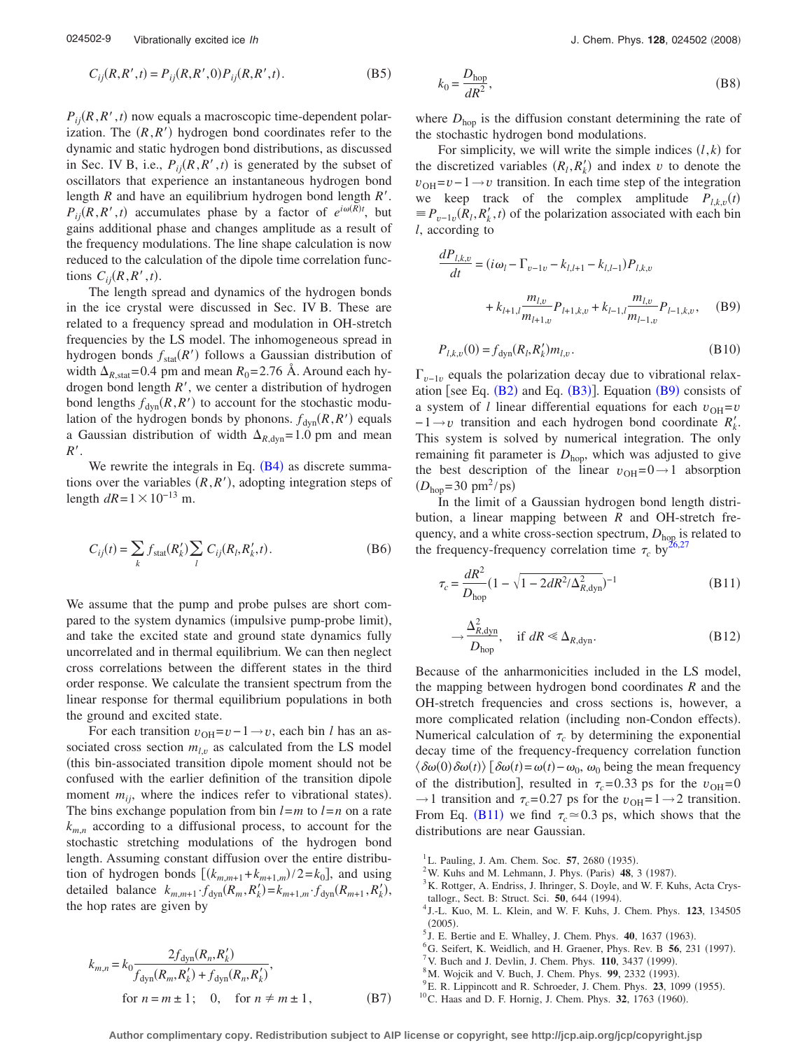$$
C_{ij}(R, R', t) = P_{ij}(R, R', 0) P_{ij}(R, R', t).
$$
 (B5)

 $P_{ij}(R, R', t)$  now equals a macroscopic time-dependent polarization. The  $(R, R')$  hydrogen bond coordinates refer to the dynamic and static hydrogen bond distributions, as discussed in Sec. IV B, i.e.,  $P_{ij}(R, R', t)$  is generated by the subset of oscillators that experience an instantaneous hydrogen bond length *R* and have an equilibrium hydrogen bond length *R*.  $P_{ij}(R, R', t)$  accumulates phase by a factor of  $e^{i\omega(R)t}$ , but gains additional phase and changes amplitude as a result of the frequency modulations. The line shape calculation is now reduced to the calculation of the dipole time correlation functions  $C_{ij}(R, R', t)$ .

The length spread and dynamics of the hydrogen bonds in the ice crystal were discussed in Sec. IV B. These are related to a frequency spread and modulation in OH-stretch frequencies by the LS model. The inhomogeneous spread in hydrogen bonds  $f_{stat}(R')$  follows a Gaussian distribution of width  $\Delta_{R,\text{stat}}$ =0.4 pm and mean  $R_0$ =2.76 Å. Around each hydrogen bond length *R'*, we center a distribution of hydrogen bond lengths  $f_{dyn}(R, R')$  to account for the stochastic modulation of the hydrogen bonds by phonons.  $f_{dyn}(R, R')$  equals a Gaussian distribution of width  $\Delta_{R,\text{dyn}}=1.0$  pm and mean  $R^{\prime}$ .

We rewrite the integrals in Eq.  $(B4)$  $(B4)$  $(B4)$  as discrete summations over the variables  $(R, R')$ , adopting integration steps of length  $dR=1\times10^{-13}$  m.

$$
C_{ij}(t) = \sum_{k} f_{\text{stat}}(R'_k) \sum_{l} C_{ij}(R_l, R'_k, t). \tag{B6}
$$

We assume that the pump and probe pulses are short compared to the system dynamics (impulsive pump-probe limit), and take the excited state and ground state dynamics fully uncorrelated and in thermal equilibrium. We can then neglect cross correlations between the different states in the third order response. We calculate the transient spectrum from the linear response for thermal equilibrium populations in both the ground and excited state.

For each transition  $v_{OH} = v - 1 \rightarrow v$ , each bin *l* has an associated cross section  $m_{l,v}$  as calculated from the LS model this bin-associated transition dipole moment should not be confused with the earlier definition of the transition dipole moment  $m_{ij}$ , where the indices refer to vibrational states). The bins exchange population from bin *l*=*m* to *l*=*n* on a rate  $k_{m,n}$  according to a diffusional process, to account for the stochastic stretching modulations of the hydrogen bond length. Assuming constant diffusion over the entire distribution of hydrogen bonds  $[(k_{m,m+1}+k_{m+1,m})/2=k_0]$ , and using detailed balance  $k_{m,m+1} \cdot f_{\text{dyn}}(R_m, R_k') = k_{m+1,m} \cdot f_{\text{dyn}}(R_{m+1}, R_k'),$ the hop rates are given by

$$
k_{m,n} = k_0 \frac{2f_{\text{dyn}}(R_n, R'_k)}{f_{\text{dyn}}(R_m, R'_k) + f_{\text{dyn}}(R_n, R'_k)},
$$
  
for  $n = m \pm 1$ ; 0, for  $n \neq m \pm 1$ , (B7)

$$
k_0 = \frac{D_{\text{hop}}}{dR^2},\tag{B8}
$$

where  $D_{\text{hop}}$  is the diffusion constant determining the rate of the stochastic hydrogen bond modulations.

For simplicity, we will write the simple indices  $(l, k)$  for the discretized variables  $(R_l, R'_k)$  and index *v* to denote the  $v_{OH} = v - 1 \rightarrow v$  transition. In each time step of the integration we keep track of the complex amplitude  $P_{l,k,v}(t)$  $\equiv P_{v-1v}(R_l, R'_k, t)$  of the polarization associated with each bin *l*, according to

<span id="page-8-10"></span>
$$
\frac{dP_{l,k,v}}{dt} = (i\omega_l - \Gamma_{v-1v} - k_{l,l+1} - k_{l,l-1})P_{l,k,v}
$$

$$
+ k_{l+1,l} \frac{m_{l,v}}{m_{l+1,v}} P_{l+1,k,v} + k_{l-1,l} \frac{m_{l,v}}{m_{l-1,v}} P_{l-1,k,v}, \quad (B9)
$$

$$
P_{l,k,v}(0) = f_{\text{dyn}}(R_l, R'_k) m_{l,v}.
$$
\n(B10)

 $\Gamma_{v-1v}$  equals the polarization decay due to vibrational relaxation [see Eq.  $(B2)$  $(B2)$  $(B2)$  and Eq.  $(B3)$  $(B3)$  $(B3)$ ]. Equation  $(B9)$  $(B9)$  $(B9)$  consists of a system of *l* linear differential equations for each  $v_{OH} = v$ −1→*v* transition and each hydrogen bond coordinate *Rk* . This system is solved by numerical integration. The only remaining fit parameter is  $D_{\text{hop}}$ , which was adjusted to give the best description of the linear  $v_{OH} = 0 \rightarrow 1$  absorption  $(D_{\text{hop}} = 30 \text{ pm}^2/\text{ps})$ 

In the limit of a Gaussian hydrogen bond length distribution, a linear mapping between *R* and OH-stretch frequency, and a white cross-section spectrum,  $D_{\text{hop}}$  is related to the frequency-frequency correlation time  $\tau_c$  by<sup>26[,27](#page-9-16)</sup>

<span id="page-8-9"></span>
$$
\tau_c = \frac{dR^2}{D_{\text{hop}}} (1 - \sqrt{1 - 2dR^2/\Delta_{R,\text{dyn}}^2})^{-1}
$$
(B11)

$$
\rightarrow \frac{\Delta_{R,\text{dyn}}^2}{D_{\text{hop}}}, \quad \text{if } dR \ll \Delta_{R,\text{dyn}}.\tag{B12}
$$

Because of the anharmonicities included in the LS model, the mapping between hydrogen bond coordinates *R* and the OH-stretch frequencies and cross sections is, however, a more complicated relation (including non-Condon effects). Numerical calculation of  $\tau_c$  by determining the exponential decay time of the frequency-frequency correlation function  $\langle \delta \omega(0) \delta \omega(t) \rangle$  [ $\delta \omega(t) = \omega(t) - \omega_0$ ,  $\omega_0$  being the mean frequency of the distribution], resulted in  $\tau_c$ =0.33 ps for the  $v_{\text{OH}}$ =0  $\rightarrow$ 1 transition and  $\tau_c$ =0.27 ps for the  $v_{\text{OH}}$ =1 $\rightarrow$ 2 transition. From Eq. ([B11](#page-8-9)) we find  $\tau_c \approx 0.3$  ps, which shows that the distributions are near Gaussian.

- <span id="page-8-1"></span><sup>2</sup>W. Kuhs and M. Lehmann, J. Phys. (Paris) 48, 3 (1987).
- $3$ K. Rottger, A. Endriss, J. Ihringer, S. Doyle, and W. F. Kuhs, Acta Crystallogr., Sect. B: Struct. Sci. **50**, 644 (1994).
- <span id="page-8-2"></span>J.-L. Kuo, M. L. Klein, and W. F. Kuhs, J. Chem. Phys. **123**, 134505  $(2005)$
- <span id="page-8-3"></span>(2005).<br><sup>5</sup> J. E. Bertie and E. Whalley, J. Chem. Phys. **40**, 1637 (1963).<br><sup>6</sup> G. Seifert, K. Weidlich, and H. Greener, Phys. Bey, B. **56**, 23.
- <span id="page-8-4"></span><sup>6</sup>G. Seifert, K. Weidlich, and H. Graener, Phys. Rev. B **56**, 231 (1997).
- <span id="page-8-5"></span><sup>7</sup> V. Buch and J. Devlin, J. Chem. Phys. **110**, 3437 (1999).
- <span id="page-8-6"></span><sup>8</sup>M. Wojcik and V. Buch, J. Chem. Phys. **99**, 2332 (1993).
- <span id="page-8-7"></span><sup>9</sup> E. R. Lippincott and R. Schroeder, J. Chem. Phys. **23**, 1099 (1955). <sup>3</sup> E. R. Lippincott and R. Schroeder, J. Chem. Phys. **23**, 1099 (1955).<sup>10</sup> C. Haas and D. F. Hornig, J. Chem. Phys. **32**, 1763 (1960).
- <span id="page-8-8"></span>

<span id="page-8-0"></span><sup>&</sup>lt;sup>1</sup>L. Pauling, J. Am. Chem. Soc. **57**, 2680 (1935).